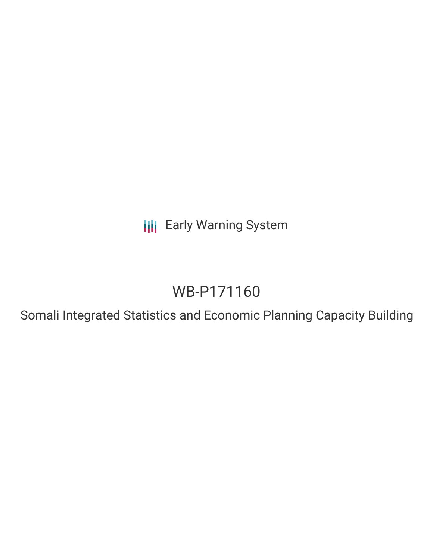**III** Early Warning System

# WB-P171160

Somali Integrated Statistics and Economic Planning Capacity Building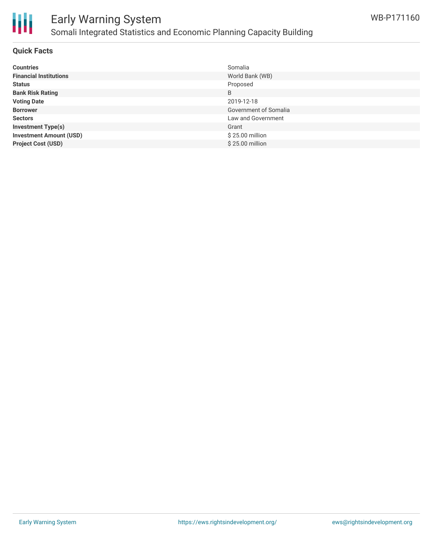

# Early Warning System Somali Integrated Statistics and Economic Planning Capacity Building

#### **Quick Facts**

| <b>Countries</b>               | Somalia               |
|--------------------------------|-----------------------|
| <b>Financial Institutions</b>  | World Bank (WB)       |
| <b>Status</b>                  | Proposed              |
| <b>Bank Risk Rating</b>        | B                     |
| <b>Voting Date</b>             | 2019-12-18            |
| <b>Borrower</b>                | Government of Somalia |
| <b>Sectors</b>                 | Law and Government    |
| <b>Investment Type(s)</b>      | Grant                 |
| <b>Investment Amount (USD)</b> | \$25.00 million       |
| <b>Project Cost (USD)</b>      | \$25.00 million       |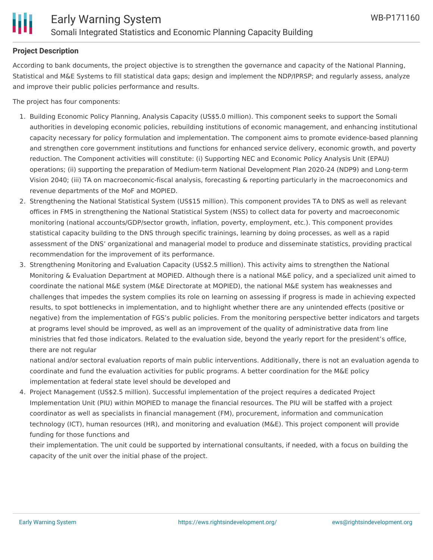

#### **Project Description**

According to bank documents, the project objective is to strengthen the governance and capacity of the National Planning, Statistical and M&E Systems to fill statistical data gaps; design and implement the NDP/IPRSP; and regularly assess, analyze and improve their public policies performance and results.

The project has four components:

- 1. Building Economic Policy Planning, Analysis Capacity (US\$5.0 million). This component seeks to support the Somali authorities in developing economic policies, rebuilding institutions of economic management, and enhancing institutional capacity necessary for policy formulation and implementation. The component aims to promote evidence-based planning and strengthen core government institutions and functions for enhanced service delivery, economic growth, and poverty reduction. The Component activities will constitute: (i) Supporting NEC and Economic Policy Analysis Unit (EPAU) operations; (ii) supporting the preparation of Medium-term National Development Plan 2020-24 (NDP9) and Long-term Vision 2040; (iii) TA on macroeconomic-fiscal analysis, forecasting & reporting particularly in the macroeconomics and revenue departments of the MoF and MOPIED.
- 2. Strengthening the National Statistical System (US\$15 million). This component provides TA to DNS as well as relevant offices in FMS in strengthening the National Statistical System (NSS) to collect data for poverty and macroeconomic monitoring (national accounts/GDP/sector growth, inflation, poverty, employment, etc.). This component provides statistical capacity building to the DNS through specific trainings, learning by doing processes, as well as a rapid assessment of the DNS' organizational and managerial model to produce and disseminate statistics, providing practical recommendation for the improvement of its performance.
- 3. Strengthening Monitoring and Evaluation Capacity (US\$2.5 million). This activity aims to strengthen the National Monitoring & Evaluation Department at MOPIED. Although there is a national M&E policy, and a specialized unit aimed to coordinate the national M&E system (M&E Directorate at MOPIED), the national M&E system has weaknesses and challenges that impedes the system complies its role on learning on assessing if progress is made in achieving expected results, to spot bottlenecks in implementation, and to highlight whether there are any unintended effects (positive or negative) from the implementation of FGS's public policies. From the monitoring perspective better indicators and targets at programs level should be improved, as well as an improvement of the quality of administrative data from line ministries that fed those indicators. Related to the evaluation side, beyond the yearly report for the president's office, there are not regular

national and/or sectoral evaluation reports of main public interventions. Additionally, there is not an evaluation agenda to coordinate and fund the evaluation activities for public programs. A better coordination for the M&E policy implementation at federal state level should be developed and

4. Project Management (US\$2.5 million). Successful implementation of the project requires a dedicated Project Implementation Unit (PIU) within MOPIED to manage the financial resources. The PIU will be staffed with a project coordinator as well as specialists in financial management (FM), procurement, information and communication technology (ICT), human resources (HR), and monitoring and evaluation (M&E). This project component will provide funding for those functions and

their implementation. The unit could be supported by international consultants, if needed, with a focus on building the capacity of the unit over the initial phase of the project.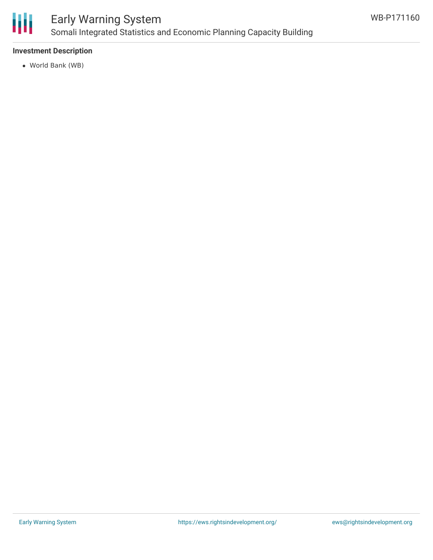

## Early Warning System Somali Integrated Statistics and Economic Planning Capacity Building

### **Investment Description**

World Bank (WB)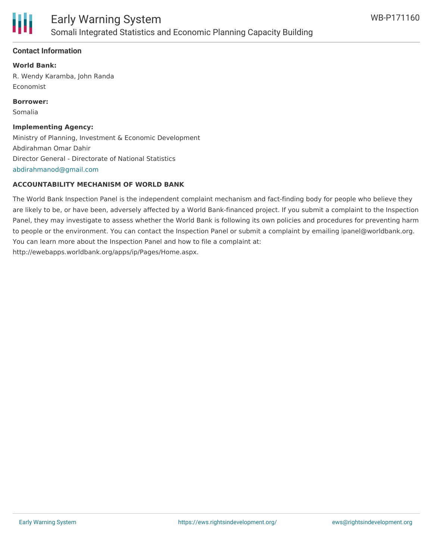

### **Contact Information**

**World Bank:** R. Wendy Karamba, John Randa Economist

**Borrower:** Somalia

### **Implementing Agency:**

Ministry of Planning, Investment & Economic Development Abdirahman Omar Dahir Director General - Directorate of National Statistics [abdirahmanod@gmail.com](mailto:abdirahmanod@gmail.com)

### **ACCOUNTABILITY MECHANISM OF WORLD BANK**

The World Bank Inspection Panel is the independent complaint mechanism and fact-finding body for people who believe they are likely to be, or have been, adversely affected by a World Bank-financed project. If you submit a complaint to the Inspection Panel, they may investigate to assess whether the World Bank is following its own policies and procedures for preventing harm to people or the environment. You can contact the Inspection Panel or submit a complaint by emailing ipanel@worldbank.org. You can learn more about the Inspection Panel and how to file a complaint at: http://ewebapps.worldbank.org/apps/ip/Pages/Home.aspx.